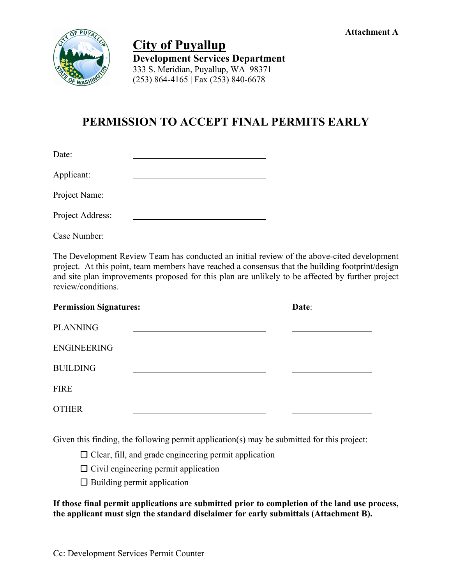

 **City of Puyallup Development Services Department** 333 S. Meridian, Puyallup, WA 98371 (253) 864-4165 | Fax (253) 840-6678

## **PERMISSION TO ACCEPT FINAL PERMITS EARLY**

| Date:            |  |
|------------------|--|
| Applicant:       |  |
| Project Name:    |  |
| Project Address: |  |
| Case Number:     |  |

The Development Review Team has conducted an initial review of the above-cited development project. At this point, team members have reached a consensus that the building footprint/design and site plan improvements proposed for this plan are unlikely to be affected by further project review/conditions.

| <b>Permission Signatures:</b> | Date: |
|-------------------------------|-------|
| <b>PLANNING</b>               |       |
| <b>ENGINEERING</b>            |       |
| <b>BUILDING</b>               |       |
| <b>FIRE</b>                   |       |
| <b>OTHER</b>                  |       |

Given this finding, the following permit application(s) may be submitted for this project:

 $\Box$  Clear, fill, and grade engineering permit application

 $\Box$  Civil engineering permit application

 $\Box$  Building permit application

**If those final permit applications are submitted prior to completion of the land use process, the applicant must sign the standard disclaimer for early submittals (Attachment B).**